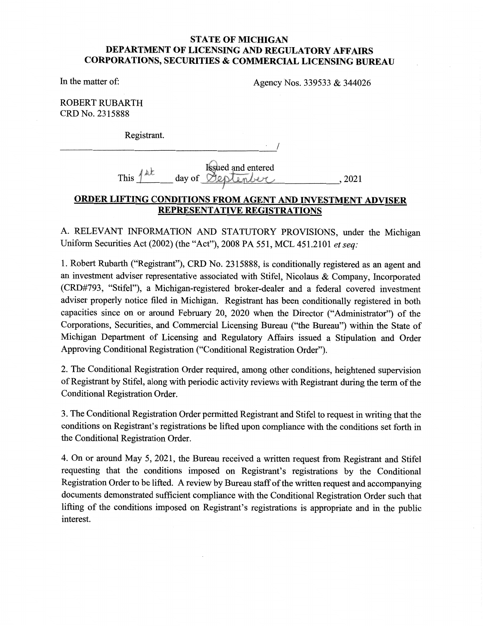### STATE OF MICHIGAN STATE OF MICHIGAN DEPARTMENT OF LICENSING AND REGULATORY AFFAIRS DEPARTMENT OF LICENSING AND REGULATORY AFFAIRS CORPORATIONS, SECURITIES & COMMERCIAL LICENSING BUREAU CORPORATIONS, SECURITIES & COMMERCIAL LICENSING BUREAU

In the matter of:  $\frac{1}{2}$  Agency Nos. 339533 & 344026

ROBERT RUBARTH ROBERT RUBARTH CRD No. 2315888 CRD No. 2315888

Registrant. Registrant.

This  $\frac{f_{\text{at}}}{f_{\text{at}}}\$  day of  $\frac{\text{Rgued and entered}}{\text{Lgauge}}$ , 2021 Issued and entered Issued and entered

### ORDER LIFTING CONDITIONS FROM AGENT AND INVESTMENT ADVISER ORDER LIFTING CONDITIONS FROM AGENT AND INVESTMENT ADVISER REPRESENTATIVE REGISTRATIONS REPRESENTATIVE REGISTRATIONS

A. RELEVANT INFORMATION AND STATUTORY PROVISIONS, under the Michigan A. RELEVANT INFORMATION AND STATUTORY PROVISIONS, under the Michigan Uniform Securities Act (2002) (the "Act"), 2008 PA 551, MCL 451.2101 et seq:

1. Robert Rubarth ("Registrant"), CRD No. 2315888, is conditionally registered as an agent and 1. Robert Rubarth ("Registrant"), CRD No. 2315888, is conditionally registered as an agent and an investment adviser representative associated with Stifel, Nicolaus & Company, Incorporated an investment adviser representative associated with Stifel, Nicolaus & Company, Incorporated (CRD#793, "Stifel"), a Michigan-registered broker-dealer and a federal covered investment (CRD#793, "Stifel"), a Michigan-registered broker-dealer and a federal covered investment adviser properly notice filed in Michigan. Registrant has been conditionally registered in both adviser properly notice filed in Michigan. Registrant has been conditionally registered in both capacities since on or around February 20, 2020 when the Director ("Administrator") of the capacities since on or around February 20, 2020 when the Director ("Administrator") of the Corporations, Securities, and Commercial Licensing Bureau ("the Bureau") within the State of Corporations, Securities, and Commercial Licensing Bureau ("the Bureau") within the State of Michigan Department of Licensing and Regulatory Affairs issued a Stipulation and Order Michigan Department of Licensing and Regulatory Affairs issued a Stipulation and Order Approving Conditional Registration ("Conditional Registration Order"). Approving Conditional Registration ("Conditional Registration Order").

2. The Conditional Registration Order required, among other conditions, heightened supervision 2. The Conditional Registration Order required, among other conditions, heightened supervision of Registrant by Stifel, along with periodic activity reviews with Registrant during the term of the of Registrant by Stifel, along with periodic activity reviews with Registrant during the term of the Conditional Registration Order. Conditional Registration Order.

3. The Conditional Registration Order permitted Registrant and Stifel to request in writing that the 3. The Conditional Registration Order permitted Registrant and Stifel to request in writing that the conditions on Registrant's registrations be lifted upon compliance with the conditions set forth in conditions on Registrant's registrations be lifted upon compliance with the conditions set forth in the Conditional Registration Order. the Conditional Registration Order.

4. On or around May 5, 2021, the Bureau received a written request from Registrant and Stifel 4. On or around May 5, 2021, the Bureau received a written request from Registrant and Stifel requesting that the conditions imposed on Registrant's registrations by the Conditional Registration Order to be lifted. A review by Bureau staff of the written request and accompanying Registration Order to be lifted. A review by Bureau staff of the written request and accompanying documents demonstrated sufficient compliance with the Conditional Registration Order such that documents demonstrated sufficient compliance with the Conditional Registration Order such that lifting of the conditions imposed on Registrant's registrations is appropriate and in the public lifting of the conditions imposed on Registrant's registrations is appropriate and in the public interest. interest.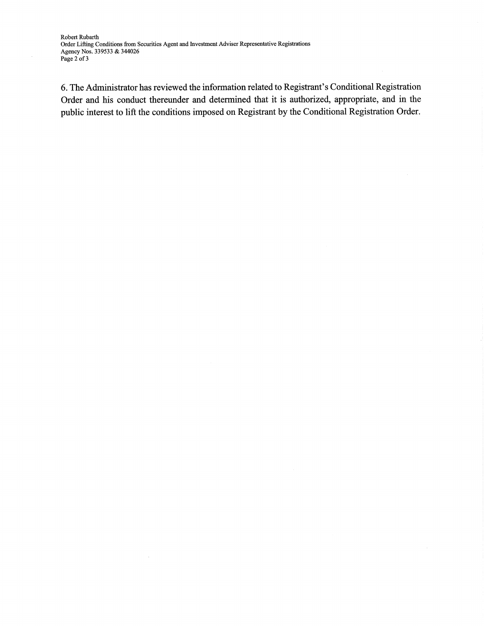Robert Rubarth Order Lifting Conditions from Securities Agent and Investment Adviser Representative Registrations Agency Nos. 339533 & 344026 Page 2 of 3

6. The Administrator has reviewed the information related to Registrant's Conditional Registration Order and his conduct thereunder and determined that it is authorized, appropriate, and in the public interest to lift the conditions imposed on Registrant by the Conditional Registration Order.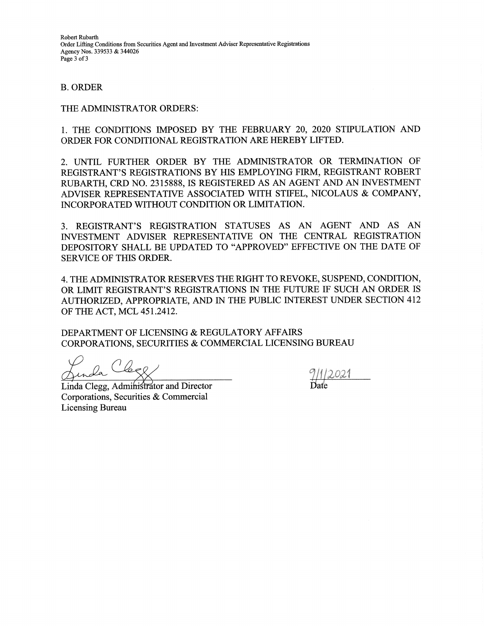Robert Rubarth Order Lifting Conditions from Securities Agent and Investment Adviser Representative Registrations<br>Agency Nos. 339533 & 344026<br>Page 3 of 3 Agency Nos. 339533 & 344026 Page 3 of 3

B. ORDER

THE ADMINISTRATOR ORDERS:

1. THE CONDITIONS IMPOSED BY THE FEBRUARY 20, 2020 STIPULATION AND ORDER FOR CONDITIONAL REGISTRATION ARE HEREBY LIFTED.

2. UNTIL FURTHER ORDER BY THE ADMINISTRATOR OR TERMINATION OF REGISTRANT'S REGISTRATIONS BY HIS EMPLOYING FIRM, REGISTRANT ROBERT RUBARTH, CRD NO. 2315888, IS REGISTERED AS AN AGENT AND AN INVESTMENT ADVISER REPRESENTATIVE ASSOCIATED WITH STIFEL, NICOLAUS & COMPANY, INCORPORATED WITHOUT CONDITION OR LIMITATION. B. ORDER<br>
THE ADMINISTRATOR ORDERS:<br>
1. THE CONDITIONS IMPOSED BY THE FEBRUARY 20, 2020 STIPULATION AND<br>
ORDER FOR CONDITIONAL REGISTRATION ARE HEREBY LIFTED.<br>
2. UNTIL FURTHER ORDER BY THE ADMINISTRATOR OR TERMINATION OF

3. REGISTRANT'S REGISTRATION STATUSES AS AN AGENT AND AS AN INVESTMENT ADVISER REPRESENTATIVE ON THE CENTRAL REGISTRATION DEPOSITORY SHALL BE UPDATED TO "APPROVED" EFFECTIVE ON THE DATE OF SERVICE OF THIS ORDER.

4. THE ADMINISTRATOR RESERVES THE RIGHT TO REVOKE, SUSPEND, CONDITION, OR LIMIT REGISTRANT'S REGISTRATIONS IN THE FUTURE IF SUCH AN ORDER IS AUTHORIZED, APPROPRIATE, AND IN THE PUBLIC INTEREST UNDER SECTION 412 OF THE ACT, MCL 451.2412.

DEPARTMENT OF LICENSING & REGULATORY AFFAIRS CORPORATIONS, SECURITIES & COMMERCIAL LICENSING BUREAU

Linda Clegg, Administrator and Director **Corporations, Securities & Commercial Licensing Bureau**  Aunda Clegg, Administrator and Director<br>Corporations, Securities & Commercial<br>Licensing Bureau

2021 **Date**  Date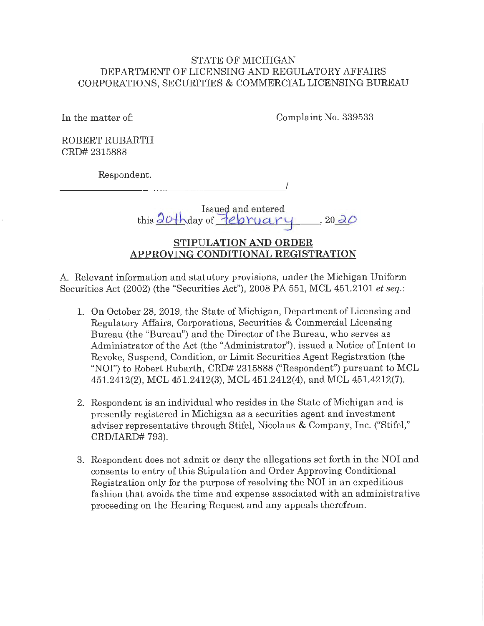### STATE OF MICHIGAN STATE OF MICHIGAN DEPARTMENT OF LICENSING AND REGULATORY AFFAIRS DEPARTMENT OF LICENSING AND REGULATORY AFFAIRS CORPORATIONS, SECURITIES & COMMERCIAL LICENSING BUREAU CORPORATIONS, SECURITIES & COMMERCIAL LICENSING BUREAU

In the matter of: Complaint No. 339533 In the matter of: Complaint No. 339533

ROBERT RUBARTH ROBERT RUBARTH CRD# 2315888 CRD# 2315888

Respondent.

Respondent.<br>—————————————————————————————/

Issued and entered this  $\frac{20 + \text{day of } 120 \times 20}{\text{day of } 120}$ , 20 20

## STIPULATION AND ORDER **STIPULATION AND ORDER**  APPROVING CONDITIONAL REGISTRATION **APPROVING CONDITIONAL REGISTRATION**

A. Relevant information and statutory provisions, under the Michigan Uniform Securities Act (2002) (the "Securities Act"), 2008 PA 551, MCL 451.2101 et seq.: Securities Act (2002) (the "Securities Act"), 2008 PA 551, MCL 451.2101 *et seq.:* 

- 1. On October 28, 2019, the State of Michigan, Department of Licensing and 1. On October 28, 2019, the State of Michigan, Department of Licensing and Regulatory Affairs, Corporations, Securities & Commercial Licensing Regulatory Affairs, Corporations, Securities & Commercial Licensing Bureau (the "Bureau") and the Director of the Bureau, who serves as Bureau (the "Bureau") and the Director of the Bureau, who serves as Administrator of the Act (the "Administrator"), issued a Notice of Intent to Administrator of the Act (the "Administrator"), issued a Notice of Intent to Revoke, Suspend, Condition, or Limit Securities Agent Registration (the Revoke, Suspend, Condition, or Limit Securities Agent Registration (the "NOT") to Robert Rubarth, CRD# 2315888 ("Respondent") pursuant to MCL "NOI") to Robert Rubarth, CRD# 2315888 ("Respondent") pursuant to MCL 451.2412(2), MCL 451.2412(3), MCL 451.2412(4), and MCL 451.4212(7). 451.2412(2), MCL 451.2412(3), MCL 451.2412(4), and MCL 451.4212(7).
- 2. Respondent is an individual who resides in the State of Michigan and is 2. Respondent is an individual who resides in the State of Michigan and is presently registered in Michigan as a securities agent and investment presently registered in Michigan as a securities agent and investment adviser representative through Stifel, Nicolaus & Company, Inc. ("Stifel," adviser representative through Stifel, Nicolaus & Company, Inc. ("Stifel," CRD/IARD# 793). CRD/IARD# 793).
- 3. Respondent does not admit or deny the allegations set forth in the NOI and 3. Respondent does not admit or deny the allegations set forth in the NOI and consents to entry of this Stipulation and Order Approving Conditional consents to entry of this Stipulation and Order Approving Conditional Registration only for the purpose of resolving the NOT in an expeditious Registration only for the purpose of resolving the NOI in an expeditious fashion that avoids the time and expense associated with an administrative fashion that avoids the time and expense associated with an administrative proceeding on the Hearing Request and any appeals therefrom. proceeding on the Hearing Request and any appeals therefrom.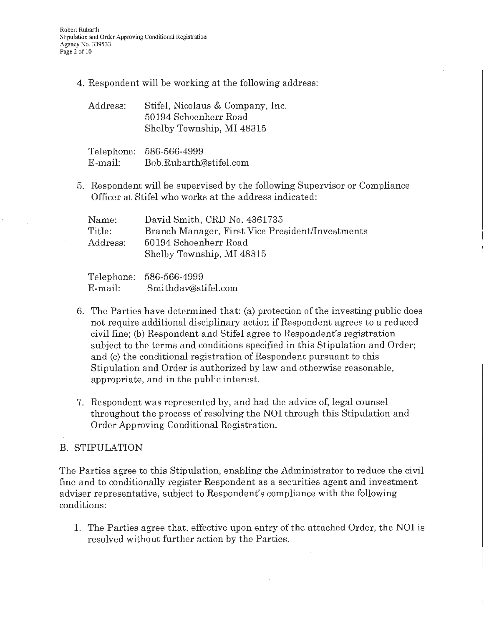4. Respondent will be working at the following address: 4. Respondent will be working at the following address:

| $\operatorname{Address:}$ | Stifel, Nicolaus & Company, Inc. |
|---------------------------|----------------------------------|
|                           | 50194 Schoenherr Road            |
|                           | Shelby Township, MI 48315        |

|            | Telephone: 586-566-4999 |
|------------|-------------------------|
| $E$ -mail: | Bob.Rubarth@stifel.com  |

5. Respondent will be supervised by the following Supervisor or Compliance 5. Respondent will be supervised by the following Supervisor or Compliance Officer at Stifel who works at the address indicated: Officer at Stifel who works at the address indicated:

| Name:    | David Smith, CRD No. 4361735                     |
|----------|--------------------------------------------------|
| Title:   | Branch Manager, First Vice President/Investments |
| Address: | 50194 Schoenherr Road                            |
|          | Shelby Township, MI 48315                        |
|          |                                                  |

Telephone: 586-566-4999 Telephone: 586-566-4999 E-mail: Smithdav@stifel.com E-mail: Smithdav@stifel.com

- 6. The Parties have determined that: (a) protection of the investing public does 6. The Parties have determined that: (a) protection of the investing public does not require additional disciplinary action if Respondent agrees to a reduced not require additional disciplinary action if Respondent agrees to a reduced civil fine; (b) Respondent and Stifel agree to Respondent's registration civil fine; (b) Respondent and Stifel agree to Respondent's registration subject to the terms and conditions specified in this Stipulation and Order; subject to the terms and conditions specified in this Stipulation and Order; and (c) the conditional registration of Respondent pursuant to this and (c) the conditional registration of Respondent pursuant to this Stipulation and Order is authorized by law and otherwise reasonable, Stipulation and Order is authorized by law and otherwise reasonable, appropriate, and in the public interest. appropriate, and in the public interest.
- 7. Respondent was represented by, and had the advice of, legal counsel 7. Respondent was represented by, and had the advice of, legal counsel throughout the process of resolving the NOI through this Stipulation and throughout the process of resolving the NOI through this Stipulation and Order Approving Conditional Registration. Order Approving Conditional Registration.

## B. STIPULATION B. STIPULATION

The Parties agree to this Stipulation, enabling the Administrator to reduce the civil The Parties agree to this Stipulation, enabling the Administrator to reduce the civil fine and to conditionally register Respondent as a securities agent and investment fine and to conditionally register Respondent as a securities agent and investment adviser representative, subject to Respondent's compliance with the following adviser representative, subject to Respondent's compliance with the following conditions: conditions:

1. The Parties agree that, effective upon entry of the attached Order, the NOI is 1. The Parties agree that, effective upon entry of the attached Order, the NOI is resolved without further action by the Parties. resolved without further action by the Parties.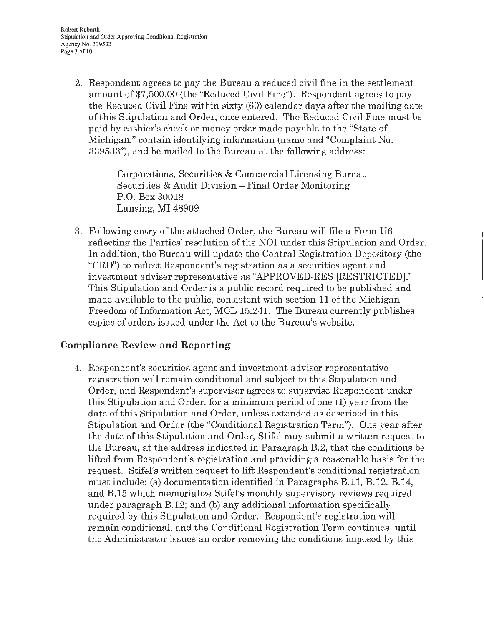2. Respondent agrees to pay the Bureau a reduced civil fine in the settlement 2. Respondent agrees to pay the Bureau a reduced civil fine in the settlement amount of \$7,500.00 (the "Reduced Civil Fine"). Respondent agrees to pay amount of \$7,500.00 (the "Reduced Civil Fine"). Respondent agrees to pay the Reduced Civil Fine within sixty (60) calendar days after the mailing date the Reduced Civil Fine within sixty (60) calendar days after the mailing date of this Stipulation and Order, once entered. The Reduced Civil Fine must be paid by cashier's check or money order made payable to the "State of paid by cashier's check or money order made payable to the "State of Michigan," contain identifying information (name and "Complaint No. Michigan," contain identifying information (name and "Complaint No. 339533"), and be mailed to the Bureau at the following address: 339533"), and be mailed to the Bureau at the following address:

> Corporations, Securities & Commercial Licensing Bureau Corporations, Securities & Commercial Licensing Bureau Securities & Audit Division — Final Order Monitoring Securities & Audit Division - Final Order Monitoring P.O. Box 30018 P.O. Box 30018 Lansing, MI 48909 Lansing, MI 48909

3. Following entry of the attached Order, the Bureau will file a Form U6 3. Following entry of the attached Order, the Bureau will file a Form U6 reflecting the Parties' resolution of the NOI under this Stipulation and Order. In addition, the Bureau will update the Central Registration Depository (the In addition, the Bureau will update the Central Registration Depository (the "CRD") to reflect Respondent's registration as a securities agent and "CRD") to reflect Respondent's registration as a securities agent and investment adviser representative as "APPROVED-RES [RESTRICTED]." investment adviser representative as "APPROVED-RES [RESTRICTED]." This Stipulation and Order is a public record required to be published and This Stipulation and Order is a public record required to be published and made available to the public, consistent with section 11 of the Michigan made available to the public, consistent with section 11 of the Michigan Freedom of Information Act, MCL 15.241. The Bureau currently publishes Freedom of Information Act, MCL 15.241. The Bureau currently publishes copies of orders issued under the Act to the Bureau's website. copies of orders issued under the Act to the Bureau's website.

## Compliance Review and Reporting **Compliance Review and Reporting**

4. Respondent's securities agent and investment adviser representative 4. Respondent's securities agent and investment adviser representative registration will remain conditional and subject to this Stipulation and Order, and Respondent's supervisor agrees to supervise Respondent under Order, and Respondent's supervisor agrees to supervise Respondent under this Stipulation and Order, for a minimum period of one (1) year from the this Stipulation and Order, for a minimum period of one (1) year from the date of this Stipulation and Order, unless extended as described in this date of this Stipulation and Order, unless extended as described in this Stipulation and Order (the "Conditional Registration Term"). One year after Stipulation and Order (the "Conditional Registration Term"). One year after the date of this Stipulation and Order, Stifel may submit a written request to the Bureau, at the address indicated in Paragraph B.2, that the conditions be the Bureau, at the address indicated in Paragraph B.2, that the conditions be lifted from Respondent's registration and providing a reasonable basis for the lifted from Respondent's registration and providing a reasonable basis for the request. Stifel's written request to lift Respondent's conditional registration must include: (a) documentation identified in Paragraphs B.11, B.12, B.14, must include: (a) documentation identified in Paragraphs B.11, B.12, B.14, and B.15 which memorialize Stifel's monthly supervisory reviews required and B.15 which memorialize Stifel's monthly supervisory reviews required under paragraph B.12; and (b) any additional information specifically under paragraph B.12; and (b) any additional information specifically required by this Stipulation and Order. Respondent's registration will remain conditional, and the Conditional Registration Term continues, until the Administrator issues an order removing the conditions imposed by this the Administrator issues an order removing the conditions imposed by this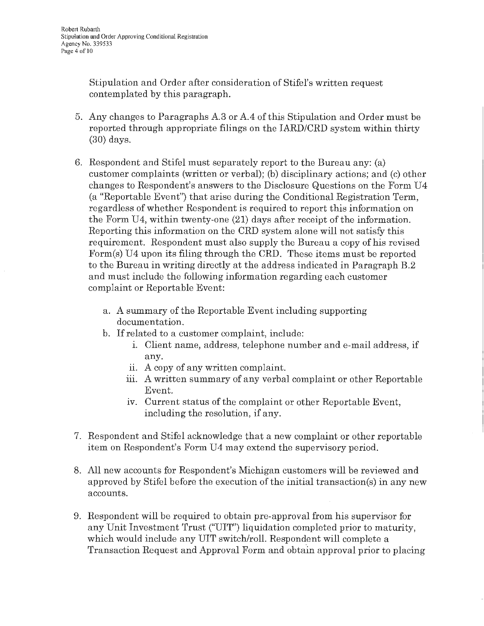Stipulation and Order after consideration of Stifel's written request Stipulation and Order after consideration of Stifel's written request contemplated by this paragraph. contemplated by this paragraph.

- 5. Any changes to Paragraphs A.3 or A.4 of this Stipulation and Order must be 5. Any changes to Paragraphs A.3 or A.4 of this Stipulation and Order must be reported through appropriate filings on the IARD/CRD system within thirty reported through appropriate filings on the IARD/CRD system within thirty (30) days. (30) days.
- 6. Respondent and Stifel must separately report to the Bureau any: (a) 6. Respondent and Stifel must separately report to the Bureau any: (a) customer complaints (written or verbal); (b) disciplinary actions; and (c) other customer complaints (written or verbal); (b) disciplinary actions; and (c) other changes to Respondent's answers to the Disclosure Questions on the Form U4 changes to Respondent's answers to the Disclosure Questions on the Form U4 (a "Reportable Event") that arise during the Conditional Registration Term, (a "Reportable Event") that arise during the Conditional Registration Term, regardless of whether Respondent is required to report this information on regardless of whether Respondent is required to report this information on the Form U4, within twenty-one (21) days after receipt of the information. the Form U4, within twenty-one (21) days after receipt of the information. Reporting this information on the CRD system alone will not satisfy this Reporting this information on the CRD system alone will not satisfy this requirement. Respondent must also supply the Bureau a copy of his revised Form(s) U4 upon its filing through the CRD. These items must be reported Form(s) U4 upon its filing through the CRD. These items must be reported to the Bureau in writing directly at the address indicated in Paragraph B.2 to the Bureau in writing directly at the address indicated in Paragraph B.2 and must include the following information regarding each customer and must include the following information regarding each customer complaint or Reportable Event: complaint or Reportable Event:
	- a. A summary of the Reportable Event including supporting a. A summary of the Reportable Event including supporting documentation. documentation.
	- b. If related to a customer complaint, include: b. If related to a customer complaint, include:
		- i. Client name, address, telephone number and e-mail address, if 1. Client name, address, telephone number and e-mail address, if any. any.
		- ii. A copy of any written complaint. 11. A copy of any written complaint.
		- iii. A written summary of any verbal complaint or other Reportable Event. Event.
		- iv. Current status of the complaint or other Reportable Event, including the resolution, if any. including the resolution, if any.
- 7. Respondent and Stifel acknowledge that a new complaint or other reportable 7. Respondent and Stifel acknowledge that a new complaint or other reportable item on Respondent's Form U4 may extend the supervisory period. item on Respondent's Form U4 may extend the supervisory period.
- 8. All new accounts for Respondent's Michigan customers will be reviewed and 8. All new accounts for Respondent's Michigan customers will be reviewed and approved by Stifel before the execution of the initial transaction(s) in any new approved by Stifel before the execution of the initial transaction(s) in any new accounts. accounts.
- 9. Respondent will be required to obtain pre-approval from his supervisor for 9. Respondent will be required to obtain pre-approval from his supervisor for any Unit Investment Trust ("UIT") liquidation completed prior to maturity, any Unit Investment Trust ("UIT") liquidation completed prior to maturity, which would include any UIT switch/roll. Respondent will complete a Transaction Request and Approval Form and obtain approval prior to placing Transaction Request and Approval Form and obtain approval prior to placing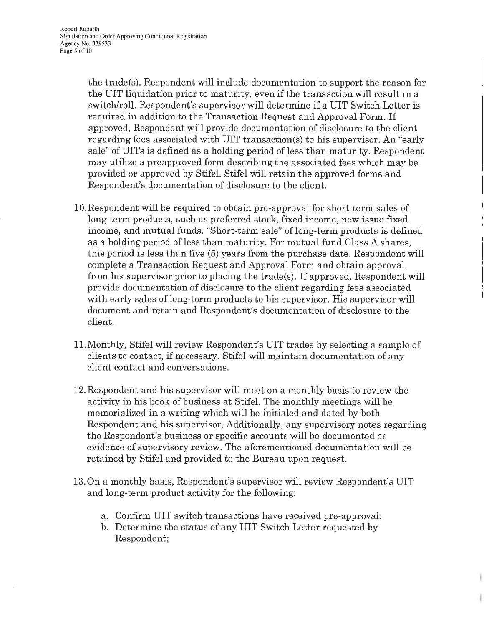the trade(s). Respondent will include documentation to support the reason for the UIT liquidation prior to maturity, even if the transaction will result in a the UIT liquidation prior to maturity, even if the transaction will result in a switch/roll. Respondent's supervisor will determine if a UIT Switch Letter is switch/roll. Respondent's supervisor will determine if a UIT Switch Letter is required in addition to the Transaction Request and Approval Form. If required in addition to the Transaction Request and Approval Form. If approved, Respondent will provide documentation of disclosure to the client approved, Respondent will provide documentation of disclosure to the client regarding fees associated with UIT transaction(s) to his supervisor. An "early regarding fees associated with UIT transaction(s) to his supervisor. An "early sale" of UITs is defined as a holding period of less than maturity. Respondent may utilize a preapproved form describing the associated fees which may be may utilize a preapproved form describing the associated fees which may be provided or approved by Stifel. Stifel will retain the approved forms and provided or approved by Stifel. Stifel will retain the approved forms and Respondent's documentation of disclosure to the client. Respondent's documentation of disclosure to the client.

- 10. Respondent will be required to obtain pre-approval for short-term sales of 10. Respondent will be required to obtain pre-approval for short-term sales of long-term products, such as preferred stock, fixed income, new issue fixed long-term products, such as preferred stock, fixed income, new issue fixed income, and mutual funds. "Short-term sale" of long-term products is defined income, and mutual funds. "Short-term sale" of long-term products is defined as a holding period of less than maturity. For mutual fund Class A shares, as a holding period ofless than maturity. For mutual fund Class A shares, this period is less than five (5) years from the purchase date. Respondent will this period is less than five (5) years from the purchase date. Respondent will complete a Transaction Request and Approval Form and obtain approval complete a Transaction Request and Approval Form and obtain approval from his supervisor prior to placing the trade(s). If approved, Respondent will from his supervisor prior to placing the trade(s). If approved, Respondent will provide documentation of disclosure to the client regarding fees associated provide documentation of disclosure to the client regarding fees associated with early sales of long-term products to his supervisor. His supervisor will document and retain and Respondent's documentation of disclosure to the document and retain and Respondent's documentation of disclosure to the client. client.
- 11.Monthly, Stifel will review Respondent's UIT trades by selecting a sample of 11.Monthly, Stifel will review Respondent's UIT trades by selecting a sample of clients to contact, if necessary. Stifel will maintain documentation of any client contact and conversations. client contact and conversations.
- 12. Respondent and his supervisor will meet on a monthly basis to review the 12. Respondent and his supervisor will meet on a monthly basis to review the activity in his book of business at Stifel. The monthly meetings will be activity in his book of business at Stifel. The monthly meetings will be memorialized in a writing which will be initialed and dated by both memorialized in a writing which will be initialed and dated by both Respondent and his supervisor. Additionally, any supervisory notes regarding Respondent and his supervisor. Additionally, any supervisory notes regarding the Respondent's business or specific accounts will be documented as the Respondent's business or specific accounts will be documented as evidence of supervisory review. The aforementioned documentation will be evidence of supervisory review. The aforementioned documentation will be retained by Stifel and provided to the Bureau upon request.
- 13.On a monthly basis, Respondent's supervisor will review Respondent's UIT 13. On a monthly basis, Respondent's supervisor will review Respondent's UIT and long-term product activity for the following: and long-term product activity for the following:
	- a. Confirm UIT switch transactions have received pre-approval; a . Confirm UIT switch transactions have received pre-approval;
	- b. Determine the status of any UIT Switch Letter requested by b. Determine the status of any UIT Switch Letter requested by Respondent; Respondent;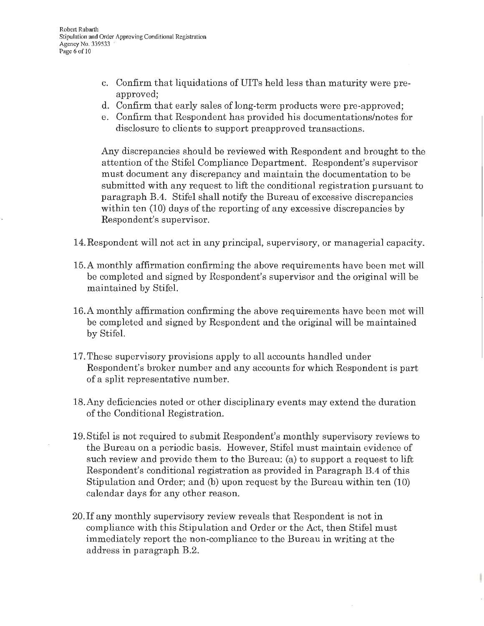- c. Confirm that liquidations of UITs held less than maturity were pre-c. Confirm that liquidations of UITs held less than maturity were preapproved; approved;
- d. Confirm that early sales of long-term products were pre-approved; d. Confirm that early sales of long-term products were pre-approved;
- e. Confirm that Respondent has provided his documentations/notes for e. Confirm that Respondent has provided his documentations/notes for disclosure to clients to support preapproved transactions. disclosure to clients to support preapproved transactions.

Any discrepancies should be reviewed with Respondent and brought to the Any discrepancies should be reviewed with Respondent and brought to the attention of the Stifel Compliance Department. Respondent's supervisor attention of the Stifel Compliance Department. Respondent's supervisor must document any discrepancy and maintain the documentation to be must document any discrepancy and maintain the documentation to be submitted with any request to lift the conditional registration pursuant to submitted with any request to lift the conditional registration pursuant to paragraph B.4. Stifel shall notify the Bureau of excessive discrepancies paragraph B.4. Stifel shall notify the Bureau of excessive discrepancies within ten (10) days of the reporting of any excessive discrepancies by within ten (10) days of the reporting of any excessive discrepancies by Respondent's supervisor. Respondent's supervisor.

- 14. Respondent will not act in any principal, supervisory, or managerial capacity. 14.Respondent will not act in any principal, supervisory, or managerial capacity.
- 15. A monthly affirmation confirming the above requirements have been met will 15. A monthly affirmation confirming the above requirements have been met will be completed and signed by Respondent's supervisor and the original will be be completed and signed by Respondent's supervisor and the original will be maintained by Stifel. maintained by Stifel.
- 16.A monthly affirmation confirming the above requirements have been met will 16.A monthly affirmation confirming the above requirements have been met will be completed and signed by Respondent and the original will be maintained be completed and signed by Respondent and the original will be maintained by Stifel. by Stifel.
- 17. These supervisory provisions apply to all accounts handled under 17. These supervisory provisions apply to all accounts handled under Respondent's broker number and any accounts for which Respondent is part Respondent's broker number and any accounts for which Respondent is part of a split representative number. of a split representative number.
- 18.Any deficiencies noted or other disciplinary events may extend the duration 18.Any deficiencies noted or other disciplinary events may extend the duration of the Conditional Registration. of the Conditional Registration.
- 19. Stifel is not required to submit Respondent's monthly supervisory reviews to 19. Stifel is not required to submit Respondent's monthly supervisory reviews to the Bureau on a periodic basis. However, Stifel must maintain evidence of the Bureau on a periodic basis. However, Stifel must maintain evidence of such review and provide them to the Bureau: (a) to support a request to lift Respondent's conditional registration as provided in Paragraph B.4 of this Respondent's conditional registration as provided in Paragraph B.4 of this Stipulation and Order; and (b) upon request by the Bureau within ten (10) Stipulation and Order; and (b) upon request by the Bureau within ten (10) calendar days for any other reason. calendar days for any other reason.
- 20.If any monthly supervisory review reveals that Respondent is not in 20.If any monthly supervisory review reveals that Respondent is not in compliance with this Stipulation and Order or the Act, then Stifel must compliance with this Stipulation and Order or the Act, then Stifel must immediately report the non-compliance to the Bureau in writing at the immediately report the non-compliance to the Bureau in writing at the address in paragraph B.2. address in paragraph B.2.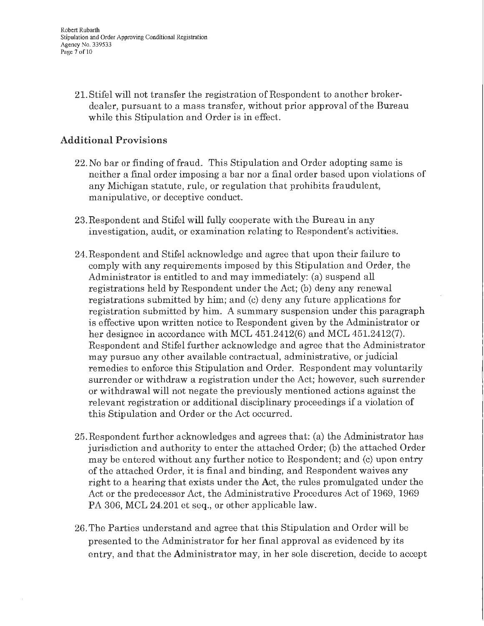Robert Rubarth Robert Rubarth Stipulation and Order Approving Conditional Registration Stipulation and Order Approving Conditional Registration Agency No. 339533 Agency No. 339533 Page 7 of 10 Page 7 of 10

21. Stifel will not transfer the registration of Respondent to another broker-21. Stifel will not transfer the registration of Respondent to another brokerdealer, pursuant to a mass transfer, without prior approval of the Bureau dealer, pursuant to a mass transfer, without prior approval of the Bureau while this Stipulation and Order is in effect. while this Stipulation and Order is in effect.

## Additional Provisions **Additional Provisions**

- 22. No bar or finding of fraud. This Stipulation and Order adopting same is 22. No bar or finding of fraud. This Stipulation and Order adopting same is neither a final order imposing a bar nor a final order based upon violations of neither a final order imposing a bar nor a final order based upon violations of any Michigan statute, rule, or regulation that prohibits fraudulent, any Michigan statute, rule, or regulation that prohibits fraudulent, manipulative, or deceptive conduct. manipulative, or deceptive conduct.
- 23. Respondent and Stifel will fully cooperate with the Bureau in any 23. Respondent and Stifel will fully cooperate with the Bureau in any investigation, audit, or examination relating to Respondent's activities. investigation, audit, or examination relating to Respondent's activities.
- 24. Respondent and Stifel acknowledge and agree that upon their failure to 24. Respondent and Stifel acknowledge and agree that upon their failure to comply with any requirements imposed by this Stipulation and Order, the comply with any requirements imposed by this Stipulation and Order, the Administrator is entitled to and may immediately: (a) suspend all Administrator is entitled to and may immediately: (a) suspend all registrations held by Respondent under the Act; (b) deny any renewal registrations submitted by him; and (c) deny any future applications for registration submitted by him. A summary suspension under this paragraph registration submitted by him. A summary suspension under this paragraph is effective upon written notice to Respondent given by the Administrator or is effective upon written notice to Respondent given by the Administrator or her designee in accordance with MCL 451.2412(6) and MCL 451.2412(7). her designee in accordance with MCL 451.2412(6) and MCL 451.2412(7). Respondent and Stifel further acknowledge and agree that the Administrator Respondent and Stifel further acknowledge and agree that the Administrator may pursue any other available contractual, administrative, or judicial may pursue any other available contractual, administrative, or judicial remedies to enforce this Stipulation and Order. Respondent may voluntarily remedies to enforce this Stipulation and Order. Respondent may voluntarily surrender or withdraw a registration under the Act; however, such surrender or withdrawal will not negate the previously mentioned actions against the or withdrawal will not negate the previously mentioned actions against the relevant registration or additional disciplinary proceedings if a violation of this Stipulation and Order or the Act occurred. this Stipulation and Order or the Act occurred.
- 25. Respondent further acknowledges and agrees that: (a) the Administrator has 25. Respondent further acknowledges and agrees that: (a) the Administrator has jurisdiction and authority to enter the attached Order; (b) the attached Order jurisdiction and authority to enter the attached Order; (b) the attached Order may be entered without any further notice to Respondent; and (c) upon entry may be entered without any further notice to Respondent; and (c) upon entry of the attached Order, it is final and binding, and Respondent waives any of the attached Order, it is final and binding, and Respondent waives any right to a hearing that exists under the Act, the rules promulgated under the Act or the predecessor Act, the Administrative Procedures Act of 1969, 1969 Act or the predecessor Act, the Administrative Procedures Act of 1969, 1969 PA 306, MCL 24.201 et seq., or other applicable law. PA 306, MCL 24.201 et seq., or other applicable law.
- 26. The Parties understand and agree that this Stipulation and Order will be 26. The Parties understand and agree that this Stipulation and Order will be presented to the Administrator for her final approval as evidenced by its presented to the Administrator for her final approval as evidenced by its entry, and that the Administrator may, in her sole discretion, decide to accept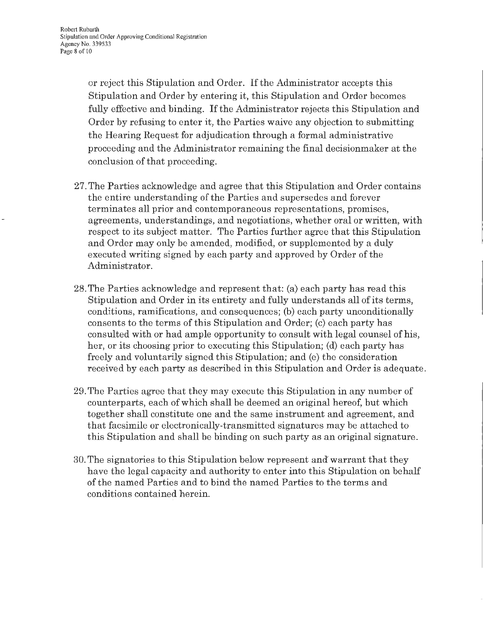or reject this Stipulation and Order. If the Administrator accepts this or reject this Stipulation and Order. If the Administrator accepts this Stipulation and Order by entering it, this Stipulation and Order becomes fully effective and binding. If the Administrator rejects this Stipulation and fully effective and binding. If the Administrator rejects this Stipulation and Order by refusing to enter it, the Parties waive any objection to submitting Order by refusing to enter it, the Parties waive any objection to submitting the Hearing Request for adjudication through a formal administrative the Hearing Request for adjudication through a formal administrative proceeding and the Administrator remaining the final decisionmaker at the proceeding and the Administrator remaining the final decisionmaker at the conclusion of that proceeding. conclusion of that proceeding.

- 27. The Parties acknowledge and agree that this Stipulation and Order contains 27. The Parties acknowledge and agree that this Stipulation and Order contains the entire understanding of the Parties and supersedes and forever the entire understanding of the Parties and supersedes and forever terminates all prior and contemporaneous representations, promises, terminates all prior and contemporaneous representations, promises, agreements, understandings, and negotiations, whether oral or written, with agreements, understandings, and negotiations, whether oral or written, with respect to its subject matter. The Parties further agree that this Stipulation respect to its subject matter. The Parties further agree that this Stipulation and Order may only be amended, modified, or supplemented by a duly and Order may only be amended, modified, or supplemented by a duly executed writing signed by each party and approved by Order of the executed writing signed by each party and approved by Order of the Administrator. Administrator.
- 28. The Parties acknowledge and represent that: (a) each party has read this 28. The Parties acknowledge and represent that: (a) each party has read this Stipulation and Order in its entirety and fully understands all of its terms, Stipulation and Order in its entirety and fully understands all of its terms, conditions, ramifications, and consequences; (b) each party unconditionally conditions, ramifications, and consequences; (b) each party unconditionally consents to the terms of this Stipulation and Order; (c) each party has consents to the terms of this Stipulation and Order; (c) each party has consulted with or had ample opportunity to consult with legal counsel of his, consulted with or had ample opportunity to consult with legal counsel of his, her, or its choosing prior to executing this Stipulation; (d) each party has her, or its choosing prior to executing this Stipulation; (d) each party has freely and voluntarily signed this Stipulation; and (e) the consideration freely and voluntarily signed this Stipulation; and (e) the consideration received by each party as described in this Stipulation and Order is adequate.
- 29. The Parties agree that they may execute this Stipulation in any number of 29. The Parties agree that they may execute this Stipulation in any number of counterparts, each of which shall be deemed an original hereof, but which counterparts, each of which shall be deemed an original hereof, but which together shall constitute one and the same instrument and agreement, and that facsimile or electronically-transmitted signatures may be attached to this Stipulation and shall be binding on such party as an original signature. this Stipulation and shall be binding on such party as an original signature.
- 30. The signatories to this Stipulation below represent and' warrant that they 30. The signatories to this Stipulation below represent and' warrant that they have the legal capacity and authority to enter into this Stipulation on behalf have the legal capacity and authority to enter into this Stipulation on behalf of the named Parties and to bind the named Parties to the terms and conditions contained herein. conditions contained herein.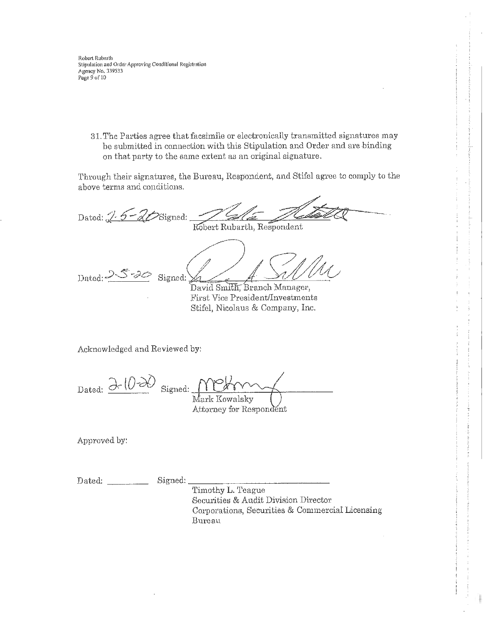Robert Rubarth Robert Rubnrlh Stipulation and Order Approving Conditional Registration Agency No, 339533 Agency No. 3J9533 Page 9 of 10 Page 9 of 10

31. The Parties agree that facsimile or electronically transmitted signatures may 31. The Parties agree that facsimile or electronically transmitted signatures may be submitted in connection with this Stipulation and Order and are binding be submitted in connection with this Stipulation and Order and are binding on that party to the same extent as an original signature. on that party to the same extent as an original signature.

 $\frac{1}{2}$ 

Through their signatures, the Bureau, Respondent, and Stifel agree to comply to the Through their signatures, the Bureau, Respondent, and Stifel agree to comply to the above terms and conditions.

Dated: 2-5-20Signed: Robert Rubarth, Respondent Signed: A Sillell  $Dated: \frac{25-20}{8}$  Signed: Bureau, Respondent, and Stifel agree to comply to the<br>Bureau, Respondent, and Stifel agree to comply to the<br>Cobert Rubarth, Respondent */-)* ., .

First Vice President/Investments First Vice President/Investments Stifel, Nicolaus & Company, Inc. Stifel, Nicolaus & Company, Inc.

Acknowledged and Reviewed by: Acknowledged and Reviewed by:

Dated:  $\partial$ - $\omega$  Signed: Mark Kowalsky ark Kowalsky

Attorney for Respondent

Approved by: Approved by:

Signed: Timothy L. Teague Timothy L. Teague Dated:  $Signed:$ 

Securities & Audit Division Director Securities & Audit Division Director Corporations, Securities & Commercial: Licensing Corporations, Securities & Commercial Licensing Bureau Bureau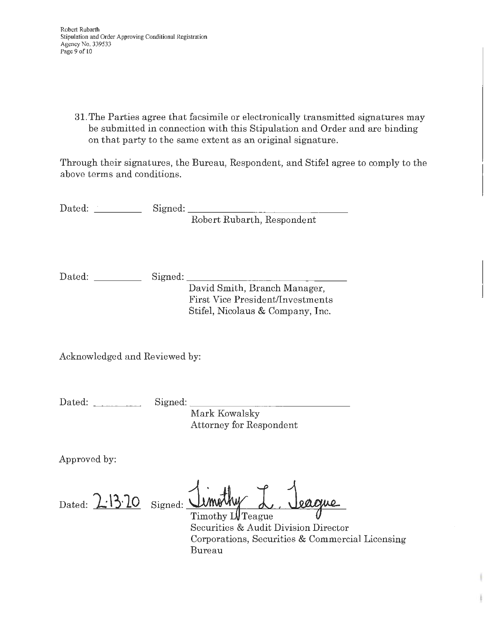Robert Rubarth Robert Rubarth Stipulation and Order Approving Conditional Registration Stipulation and Order Approving Conditional Registration Agency No. 339533 Agency No. 339533 Page 9 of 10 Page 9 of 10

31. The Parties agree that facsimile or electronically transmitted signatures may 31. The Parties agree that facsimile or electronically transmitted signatures may be submitted in connection with this Stipulation and Order and are binding be submitted in connection with this Stipulation and Order and are binding on that party to the same extent as an original signature.

Through their signatures, the Bureau, Respondent, and Stifel agree to comply to the Through their signatures, the Bureau, Respondent, and Stifel agree to comply to the above terms and conditions. above terms and conditions.

Dated: Signed:

Robert Rubarth, Respondent Dated: · ----- Signed: \_\_\_\_\_\_\_\_\_\_\_\_\_\_ \_ Robert Rubarth, Respondent

Dated: Signed:  $Signed:$ 

David Smith, Branch Manager, David Smith, Branch Manager, First Vice President/Investments First Vice President/Investments Stifel, Nicolaus & Company, Inc. Stifel, Nicolaus & Company, Inc.

Acknowledged and Reviewed by: Acknowledged and Reviewed by:

Dated: Signed: Signed: \_ \_\_\_ \_\_\_\_\_\_\_\_\_\_ \_

Mark Kowalsky Mark Kowalsky Attorney for Respondent Attorney for Respondent

Approved by: Approved by:

Dated:  $\angle 13$   $10$  Signed: Limothy L. Jeague

Timothy LU Teague Securities & Audit Division Director Securities & Audit Division Director Corporations, Securities & Commercial Licensing Corporations, Securities & Commercial Licensing Bureau Bureau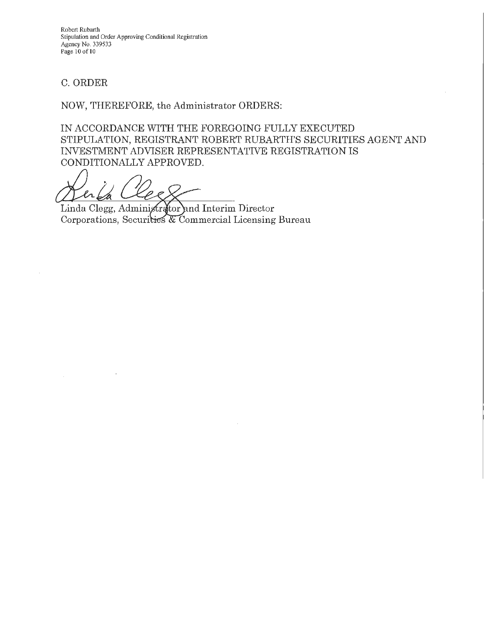Robert Rubarth Robert Rubarth Stipulation and Order Approving Conditional Registration Stipulation and Order Approving Conditional Registration Agency No. 339533 Agency No. 339533 Page 10 of 10 Page 10 of 10

C. ORDER C. ORDER

NOW, THEREFORE, the Administrator ORDERS: NOW, THEREFORE, the Administrator ORDERS:

IN ACCORDANCE WITH THE FOREGOING FULLY EXECUTED IN ACCORDANCE WITH THE FOREGOING FULLY EXECUTED STIPULATION, REGISTRANT ROBERT RUBARTH'S SECURITIES AGENT AND STIPULATION, REGISTRANT ROBERT RUBARTH'S SECURITIES AGENT AND INVESTMENT ADVISER REPRESENTATIVE REGISTRATION IS INVESTMENT ADVISER REPRESENTATIVE REGISTRATION IS CONDITIONALLY APPROVED. CONDITIONALLY APPROVED.

ees

 $\bar{\phantom{a}}$  .

 $\hat{a}$ 

Linda Clegg, Administrator and Interim Director Corporations, Securities & Commercial Licensing Bureau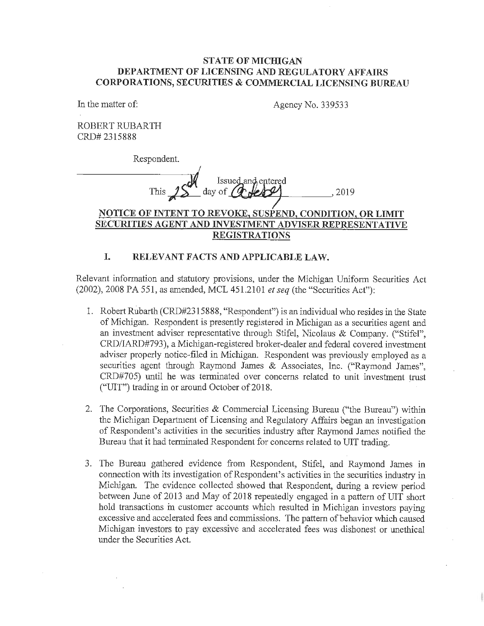#### STATE OF MICHIGAN **STATE OF MICIDGAN**  DEPARTMENT OF LICENSING AND REGULATORY AFFAIRS **DEPARTMENT OF LICENSING AND REGULATORY AFFAIRS**  CORPORATIONS, SECURITIES & COMMERCIAL LICENSING BUREAU **CORPORATIONS, SECURITIES & COMMERCIAL LICENSING BUREAU**

In the matter of:

In the matter of: Agency No. 339533

ROBERT RUBARTH ROBERT RUBARTH CRD# 2315888 CRD# 2315888

Respondent. Respondent.

This Issued and entered day of  $(4, 2019)$ , 2019 NOTICE OF INTENT TO REVOKE, SUSPEND, CONDITION, OR LIMIT **NOTICE OF INTENT TO REVOKE, SUSPEND, CONDITION, OR LIMIT**  SECURITIES AGENT AND INVESTMENT ADVISER REPRESENTATIVE **SECURiTIES AGENT AND INVESTMENT ADVISER REPRESENTATIVE**  Issued and entered pondent.<br>This  $\chi$  S<sup>M</sup> day of *G* developery , 2019 *j* 

# I. RELEVANT FACTS AND APPLICABLE LAW. **I. RELEVANT FACTS AND APPLICABLE LAW.**

Relevant information and statutory provisions, under the Michigan Uniform Securities Act Relevant information and statutory provisions, under the Michigan Uniform Securities Act (2002), 2008 PA 551, as amended, MCL 451.2101 et seq (the "Securities Act"): (2002), 2008 PA 551, as amended, MCL 451.2101 *et seq* (the "Securities Act"):

REGISTRATIONS **REGISTRATIONS** 

- CRD/IARD#793), a Michigan-registered broker-dealer and federal covered investment CRD/IARD#793), a Michigan-registered broker-dealer and federal covered investment 1. Robert Rubarth (CRD#2315888, "Respondent") is an individual who resides in the State 1. Robert Rubarth (CRD#2315888, "Respondent") is an individual who resides in the State of Michigan. Respondent is presently registered in Michigan as a securities agent and of Michigan. Respondent is presently registered in Michigan as a securities agent and an investment adviser representative through Stifel, Nicolaus & Company. ("Stifel", an investment adviser representative through Stifel, Nicolaus & Company. ("Stifel", adviser properly notice-filed in Michigan. Respondent was previously employed as a adviser properly notice-filed in Michigan. Respondent was previously employed as a securities agent through Raymond James & Associates, Inc. ("Raymond James", securities agent through Raymond James & Associates, Inc. ("Raymond James", CRD#705) until he was terminated over concerns related to unit investment trust CRD#705) until he was terminated over concerns related to unit investment trust ("UIT") trading in or around October of 2018. ("UIT") trading in or around October of 2018.
- 2. The Corporations, Securities & Commercial Licensing Bureau ("the Bureau") within 2. The Corporations, Securities & Commercial Licensing Bureau ("the Bureau") within the Michigan Department of Licensing and Regulatory Affairs began an investigation the Michigan Department of Licensing and Regulatory Affairs began an investigation of Respondent's activities in the securities industry after Raymond James notified the Bureau that it had terminated Respondent for concerns related to UIT trading. Bureau that it had terminated Respondent for concerns related to UIT trading.
- 3. The Bureau gathered evidence from Respondent, Stifel, and Raymond James in 3. The Bureau gathered evidence from Respondent, Stifel, and Raymond James in connection with its investigation of Respondent's activities in the securities industry in connection with its investigation of Respondent's activities in the securities industry in Michigan. The evidence collected showed that Respondent, during a review period Michigan. The evidence collected showed that Respondent, during a review period between June of 2013 and May of 2018 repeatedly engaged in a pattern of UIT short between June of 2013 and May of 2018 repeatedly engaged in a pattern of UIT short hold transactions in customer accounts which resulted in Michigan investors paying hold transactions in customer accounts which resulted in Michigan investors paying excessive and accelerated fees and commissions. The pattern of behavior which caused excessive and accelerated fees and commissions. The pattern of behavior which caused Michigan investors to pay excessive and accelerated fees was dishonest or unethical Michigan investors to pay excessive and accelerated fees was dishonest or unethical under the Securities Act. under the Securities Act.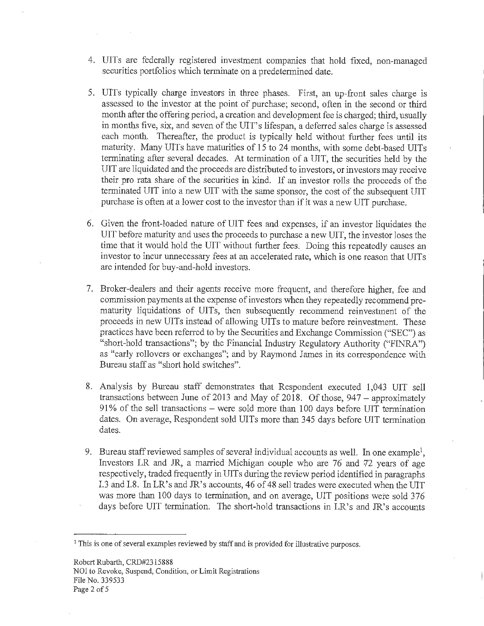- 4. UITs are federally registered investment companies that hold fixed, non-managed 4. UITs are federally registered investment companies that hold fixed, non-managed securities portfolios which terminate on a predetermined date. securities portfolios which terminate on a predetermined date.
- 5. UITs typically charge investors in three phases. First, an up-front sales charge is 5. UITs typically charge investors in three phases. First, an up-front sales charge is assessed to the investor at the point of purchase; second, often in the second or third assessed to the investor at the point of purchase; second, often in the second or third month after the offering period, a creation and development fee is charged; third, usually month after the offering period, a creation and development fee is charged; third, usually in months five, six, and seven of the UIT' s lifespan, a deferred sales charge is assessed in months five, six, and seven of the UIT's lifespan, a deferred sales charge is assessed each month. Thereafter, the product is typically held without further fees until its each month. Thereafter, the product is typically held without further fees until its maturity. Many UITs have maturities of 15 to 24 months, with some debt-based UITs terminating after several decades. At termination of a UIT, the securities held by the terminating after several decades. At termination of a UIT, the securities held by the UIT are liquidated and the proceeds are distributed to investors, or investors may receive UIT are liquidated and the proceeds are distributed to investors, or investors may receive their pro rata share of the securities in kind. If an investor rolls the proceeds of the terminated UIT into a new UIT with the same sponsor, the cost of the subsequent UIT terminated UIT into a new UIT with the same sponsor, the cost of the subsequent UIT purchase is often at a lower cost to the investor than if it was a new UIT purchase.
- 6. Given the front-loaded nature of UIT fees and expenses, if an investor liquidates the 6. Given the front-loaded nature of UIT fees and expenses, if an investor liquidates the UIT before maturity and uses the proceeds to purchase a new UIT, the investor loses the UIT before maturity and uses the proceeds to purchase a new UIT, the investor loses the time that it would hold the UIT without further fees. Doing this repeatedly causes an time that it would hold the UIT without further fees. Doing this repeatedly causes an investor to incur unnecessary fees at an accelerated rate, which is one reason that UITs are intended for buy-and-hold investors. are intended for buy-and-hold investors.
- 7. Broker-dealers and their agents receive more frequent, and therefore higher, fee and 7. Broker-dealers and their agents receive more frequent, and therefore higher, fee and commission payments at the expense of investors when they repeatedly recommend prematurity liquidations of UITs, then subsequently recommend reinvestment of the maturity liquidations of UITs, then subsequently recommend reinvestment of the proceeds in new UITS instead of allowing UITs to mature before reinvestment. These proceeds in new UITs instead of allowing UITs to mature before reinvestment. These practices have been referred to by the Securities and Exchange Commission ("SEC") as practices have been referred to by the Securities and Exchange Commission ("SEC") as "short-hold transactions"; by the Financial Industry Regulatory Authority ("FINRA") "short-hold transactions"; by the Financial Industry Regulatory Authority ("FINRA") as "early rollovers or exchanges"; and by Raymond James in its correspondence with as "early rollovers or exchanges"; and by Raymond James in its correspondence with Bureau staff as "short hold switches". Bureau staff as "short hold switches".
- 8. Analysis by Bureau staff demonstrates that Respondent executed 1,043 UIT sell 8. Analysis by Bureau staff demonstrates that Respondent executed 1,043 UIT sell transactions between June of 2013 and May of 2018. Of those,  $947 -$  approximately 91% of the sell transactions — were sold more than 100 days before UIT termination 91 % of the sell transactions - were sold more than 100 days before UIT termination dates. On average, Respondent sold UITS more than 345 days before UIT termination dates. On average, Respondent sold UITs more than 345 days before UIT termination dates. dates.
- 9. Bureau staff reviewed samples of several individual accounts as well. In one example<sup>1</sup>, Investors LR and JR, a married Michigan couple who are 76 and 72 years of age respectively, traded frequently in UITs during the review period identified in paragraphs respectively, traded frequently in UITs during the review period identified in paragraphs 1.3 and I.8. In LR's and JR's accounts, 46 of 48 sell trades were executed when the UIT I.3 and I.8. In LR's and JR's accounts, 46 of 48 sell trades were executed when the UIT was more than 100 days to termination, and on average, UIT positions were sold 376 days before UIT termination. The short-hold transactions in LR's and JR's accounts days before UIT termination. The short-hold transactions in LR's and JR's accounts

This is one of several examples reviewed by staff and is provided for illustrative purposes. 1 This is one of several examples reviewed by staff and is provided for illustrative purposes.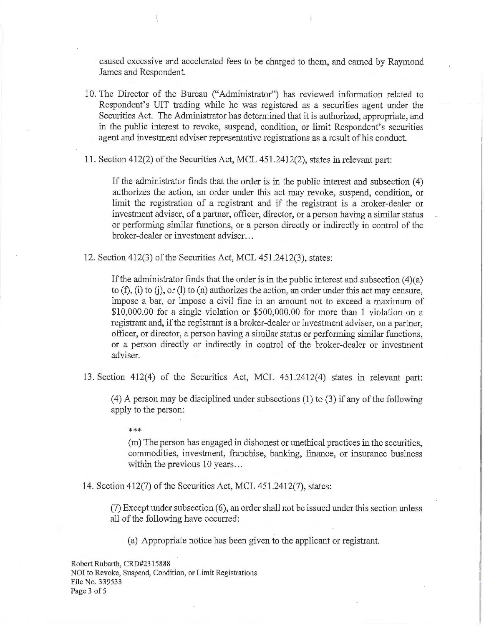caused excessive and accelerated fees to be charged to them, and earned by Raymond caused excessive and accelerated fees to be charged to them, and earned by Raymond James and Respondent. James and Respondent.

- 10. The Director of the Bureau ("Administrator") has reviewed information related to 10. The Director of the Bureau ("Administrator") has reviewed information related to Respondent's UIT trading while he was registered as a securities agent under the Respondent's UTT trading while he was registered as a securities agent under the Securities Act. The Administrator has determined that it is authorized, appropriate, and Securities Act. The Administrator has determined that it is authorized, appropriate, and in the public interest to revoke, suspend, condition, or limit Respondent's securities in the public interest to revoke, suspend, condition, or limit Respondent's securities agent and investment adviser representative registrations as a result of his conduct. agent and investment adviser representative registrations as a result of his conduct.
- 11. Section 412(2) of the Securities Act, MCL 451.2412(2), states in relevant part: 11. Section 412(2) of the Securities Act, MCL 451.2412(2), states in relevant part:

If the administrator finds that the order is in the public interest and subsection (4) If the administrator finds that the order is in the public interest and subsection ( 4) authorizes the action, an order under this act may revoke, suspend, condition, or authorizes the action, an order under this act may revoke, suspend, condition, or limit the registration of a registrant and if the registrant is a broker-dealer or limit the registration of a registrant and if the registrant is a broker-dealer or investment adviser, of a partner, officer, director, or a person having a similar status investment adviser, of a partner, officer, director, or a person having a similar status or performing similar functions, or a person directly or indirectly in control of the broker-dealer or investment adviser... broker-dealer or investment adviser .. .

12. Section 412(3) of the Securities Act, MCL 451.2412(3), states: 12. Section 412(3) of the Securities Act, MCL 451.2412(3), states:

If the administrator finds that the order is in the public interest and subsection  $(4)(a)$ to (f), (i) to (j), or (1) to (n) authorizes the action, an order under this act may censure, to (f), (i) to G), or (1) to (n) authorizes the action, an order under this act may censure, impose a bar, or impose a civil fine in an amount not to exceed a maximum of impose a bar, or impose a civil fine in an amount not to exceed a maximum of \$10,000.00 for a single violation or \$500,000.00 for more than 1 violation on a \$10,000.00 for a single violation or \$500,000.00 for more than 1 violation on a registrant and, if the registrant is a broker-dealer or investment adviser, on a partner, registrant and, if the registrant is a broker-dealer or investment adviser, on a partner, officer, or director, a person having a similar status or performing similar functions, officer, or director, a person having a similar status or performing similar functions, or a person directly or indirectly in control of the broker-dealer or investment adviser. adviser.

13. Section 412(4) of the Securities Act, MCL 451.2412(4) states in relevant part:

**(4) A person may be disciplined under subsections (1) to (3) if any of the following**  (4) A person may be disciplined under subsections (1) to (3) if any of the following **apply to the person:**  apply to the person:

**\* \*\***  \*\*\*

**(m) The person has engaged in dishonest or unethical practices in the securities,**  (m) The person has engaged in dishonest or unethical practices in the securities, **commodities, investment, franchise, banking, finance, or insurance business**  commodities, investment, franchise, banking, finance, or insurance business **within the previous 10 years...**  within the previous 10 years ...

**14. Section 412(7) of the Securities Act, MCL 451.2412(7), states:**  14. Section 412(7) of the Securities Act, MCL 451.2412(7), states:

**(7) Except under subsection (6), an order shall not be issued under this section unless**  (7) Except under subsection ( 6), an order shall not be issued under this section unless **all of the following have occurred:**  all of the following have occurred:

**(a) Appropriate notice has been given to the applicant or registrant.**  (a) Appropriate notice has been given to the applicant or registrant.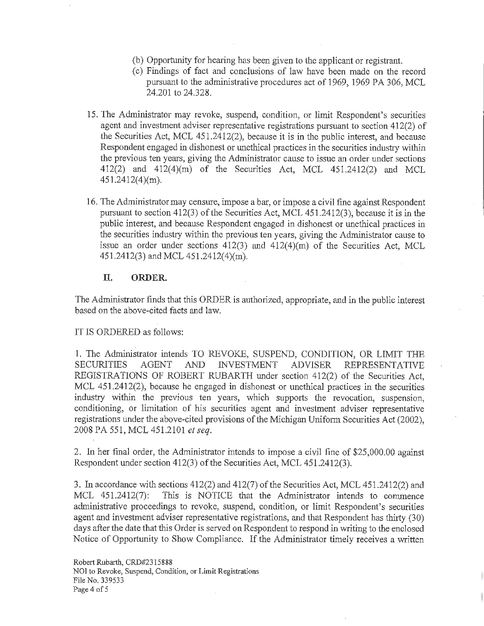- (b) Opportunity for hearing has been given to the applicant or registrant. (b) Opportunity for hearing has been given to the applicant or registrant.
- (c) Findings of fact and conclusions of law have been made on the record ( c) Findings of fact and conclusions of law have been made on the record pursuant to the administrative procedures act of 1969, 1969 PA 306, MCL pursuant to the administrative procedures act of 1969, 1969 PA 306, MCL 24.201 to 24.328. 24.201 to 24.328.
- 15. The Administrator may revoke, suspend, condition, or limit Respondent's securities 15. The Administrator may revoke, suspend, condition, or limit Respondent's securities agent and investment adviser representative registrations pursuant to section 412(2) of the Securities Act, MCL 451.2412(2), because it is in the public interest, and because Respondent engaged in dishonest or unethical practices in the securities industry within Respondent engaged in dishonest or unethical practices in the securities industry within the previous ten years, giving the Administrator cause to issue an order under sections the previous ten years, giving the Administrator cause to issue an order under sections 412(2) and 412(4)(m) of the Securities Act, MCL 451.2412(2) and MCL 412(2) and 412(4)(m) of the Securities Act, MCL 451.2412(2) and MCL 451.2412(4)(m). 451.2412(4)(m).
- 16. The Administrator may censure, impose a bar, or impose a civil fine against Respondent 16. The Administrator may censure, impose a bar, or impose a civil fine against Respondent pursuant to section 412(3) of the Securities Act, MCL 451.2412(3), because it is in the pursuant to section 412(3) of the Securities Act, MCL 451.2412(3), because it is in the public interest, and because Respondent engaged in dishonest or unethical practices in public interest, and because Respondent engaged in dishonest or unethical practices in the securities industry within the previous ten years, giving the Administrator cause to issue an order under sections  $412(3)$  and  $412(4)(m)$  of the Securities Act, MCL 451.2412(3) and MCL 451.2412(4)(m). 451.2412(3) and MCL 451.2412(4)(m).

## H. ORDER. **II. ORDER.**

The Administrator finds that this ORDER is authorized, appropriate, and in the public interest The Administrator finds that this ORDER is authorized, appropriate, and in the public interest based on the above-cited facts and law. based on the above-cited facts and law.

IT IS ORDERED as follows: IT IS ORDERED as follows:

1. The Administrator intends TO REVOKE, SUSPEND, CONDITION, OR LIMIT THE 1. The Administrator intends TO REVOKE, SUSPEND, CONDITION, OR LIMIT THE SECURITIES AGENT AND INVESTMENT ADVISER REPRESENTATIVE SECURITIES AGENT AND INVESTMENT ADVISER REPRESENTATIVE REGISTRATIONS OF ROBERT RUBARTH under section 412(2) of the Securities Act, REGISTRATIONS OF ROBERT RUBARTH under section 412(2) of the Securities Act, MCL 451.2412(2), because he engaged in dishonest or unethical practices in the securities MCL 451.2412(2), because he engaged in dishonest or unethical practices in the securities industry within the previous ten years, which supports the revocation, suspension, industry within the previous ten years, which supports the revocation, suspension, conditioning, or limitation of his securities agent and investment adviser representative conditioning, or limitation of his securities agent and investment adviser representative registrations under the above-cited provisions of the Michigan Uniform Securities Act (2002), registrations under the above-cited provisions of the Michigan Uniform Securities Act (2002), 2008 PA 551, MCL 451.2101 et seq. 2008 PA 551, MCL 451.2101 *et seq.* 

2. In her final order, the Administrator intends to impose a civil fine of \$25,000.00 against 2. In her final order, the Administrator intends to impose a civil fine of \$25,000.00 against Respondent under section 412(3) of the Securities Act, MCL 451.2412(3). Respondent under section 412(3) of the Securities Act, MCL 451.2412(3).

3. In accordance with sections 412(2) and 412(7) of the Securities Act, MCL 451.2412(2) and 3. In accordance with sections 412(2) and 412(7) of the Securities Act, MCL 451.2412(2) and MCL 451.2412(7): This is NOTICE that the Administrator intends to commence MCL 451.2412(7): This is NOTICE that the Administrator intends to commence administrative proceedings to revoke, suspend, condition, or limit Respondent's securities administrative proceedings to revoke, suspend, condition, or limit Respondent's securities agent and investment adviser representative registrations, and that Respondent has thirty (30) agent and investment adviser representative registrations, and that Respondent has thirty (30) days after the date that this Order is served on Respondent to respond in writing to the enclosed days after the date that this Order is served on Respondent to respond in writing to the enclosed Notice of Opportunity to Show Compliance. If the Administrator timely receives a written Notice of Opportunity to Show Compliance. If the Administrator timely receives a written